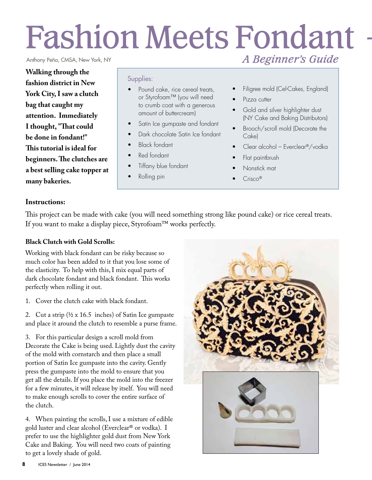# Fashion Meets Fondant *A Beginner's Guide*

Anthony Peña, CMSA, New York, NY

**Walking through the fashion district in New York City, I saw a clutch bag that caught my attention. Immediately I thought, "That could be done in fondant!" This tutorial is ideal for beginners. The clutches are a best selling cake topper at many bakeries.**

#### Supplies:

- Pound cake, rice cereal treats, or Styrofoam™ (you will need to crumb coat with a generous amount of buttercream)
- Satin Ice gumpaste and fondant
- Dark chocolate Satin Ice fondant
- Black fondant
- Red fondant
- Tiffany blue fondant
- Rolling pin
- 
- Filigree mold (Cel-Cakes, England)
- Pizza cutter
- Gold and silver highlighter dust (NY Cake and Baking Distributors)
- Brooch/scroll mold (Decorate the Cake)
- Clear alcohol Everclear®/vodka
- Flat paintbrush
- Nonstick mat
- Crisco<sup>®</sup>

#### **Instructions:**

This project can be made with cake (you will need something strong like pound cake) or rice cereal treats. If you want to make a display piece, Styrofoam™ works perfectly.

#### **Black Clutch with Gold Scrolls:**

Working with black fondant can be risky because so much color has been added to it that you lose some of the elasticity. To help with this, I mix equal parts of dark chocolate fondant and black fondant. This works perfectly when rolling it out.

1. Cover the clutch cake with black fondant.

2. Cut a strip ( $\frac{1}{2}$  x 16.5 inches) of Satin Ice gumpaste and place it around the clutch to resemble a purse frame.

3. For this particular design a scroll mold from Decorate the Cake is being used. Lightly dust the cavity of the mold with cornstarch and then place a small portion of Satin Ice gumpaste into the cavity. Gently press the gumpaste into the mold to ensure that you get all the details. If you place the mold into the freezer for a few minutes, it will release by itself. You will need to make enough scrolls to cover the entire surface of the clutch.

4. When painting the scrolls, I use a mixture of edible gold luster and clear alcohol (Everclear® or vodka). I prefer to use the highlighter gold dust from New York Cake and Baking. You will need two coats of painting to get a lovely shade of gold.